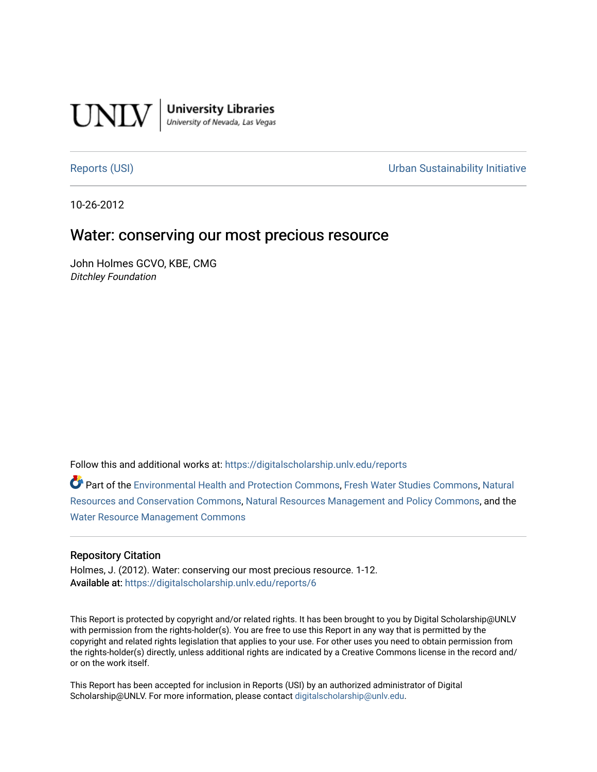

**University Libraries**<br>University of Nevada, Las Vegas

[Reports \(USI\)](https://digitalscholarship.unlv.edu/reports) [Urban Sustainability Initiative](https://digitalscholarship.unlv.edu/sustainability) 

10-26-2012

# Water: conserving our most precious resource

John Holmes GCVO, KBE, CMG Ditchley Foundation

Follow this and additional works at: [https://digitalscholarship.unlv.edu/reports](https://digitalscholarship.unlv.edu/reports?utm_source=digitalscholarship.unlv.edu%2Freports%2F6&utm_medium=PDF&utm_campaign=PDFCoverPages) 

Part of the [Environmental Health and Protection Commons,](http://network.bepress.com/hgg/discipline/172?utm_source=digitalscholarship.unlv.edu%2Freports%2F6&utm_medium=PDF&utm_campaign=PDFCoverPages) [Fresh Water Studies Commons,](http://network.bepress.com/hgg/discipline/189?utm_source=digitalscholarship.unlv.edu%2Freports%2F6&utm_medium=PDF&utm_campaign=PDFCoverPages) [Natural](http://network.bepress.com/hgg/discipline/168?utm_source=digitalscholarship.unlv.edu%2Freports%2F6&utm_medium=PDF&utm_campaign=PDFCoverPages) [Resources and Conservation Commons,](http://network.bepress.com/hgg/discipline/168?utm_source=digitalscholarship.unlv.edu%2Freports%2F6&utm_medium=PDF&utm_campaign=PDFCoverPages) [Natural Resources Management and Policy Commons](http://network.bepress.com/hgg/discipline/170?utm_source=digitalscholarship.unlv.edu%2Freports%2F6&utm_medium=PDF&utm_campaign=PDFCoverPages), and the [Water Resource Management Commons](http://network.bepress.com/hgg/discipline/1057?utm_source=digitalscholarship.unlv.edu%2Freports%2F6&utm_medium=PDF&utm_campaign=PDFCoverPages)

#### Repository Citation

Holmes, J. (2012). Water: conserving our most precious resource. 1-12. Available at: <https://digitalscholarship.unlv.edu/reports/6>

This Report is protected by copyright and/or related rights. It has been brought to you by Digital Scholarship@UNLV with permission from the rights-holder(s). You are free to use this Report in any way that is permitted by the copyright and related rights legislation that applies to your use. For other uses you need to obtain permission from the rights-holder(s) directly, unless additional rights are indicated by a Creative Commons license in the record and/ or on the work itself.

This Report has been accepted for inclusion in Reports (USI) by an authorized administrator of Digital Scholarship@UNLV. For more information, please contact [digitalscholarship@unlv.edu.](mailto:digitalscholarship@unlv.edu)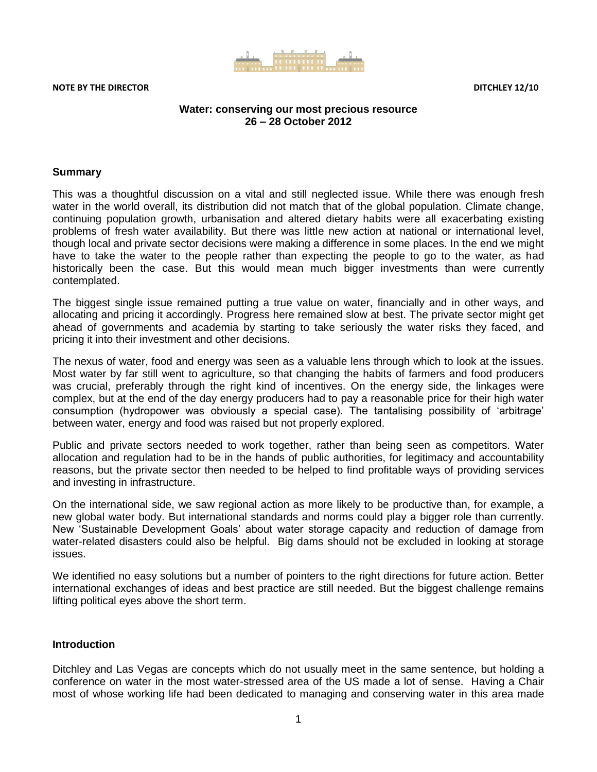

**NOTE BY THE DIRECTOR DITCHLEY 12/10**

### **Water: conserving our most precious resource 26 – 28 October 2012**

### **Summary**

This was a thoughtful discussion on a vital and still neglected issue. While there was enough fresh water in the world overall, its distribution did not match that of the global population. Climate change, continuing population growth, urbanisation and altered dietary habits were all exacerbating existing problems of fresh water availability. But there was little new action at national or international level, though local and private sector decisions were making a difference in some places. In the end we might have to take the water to the people rather than expecting the people to go to the water, as had historically been the case. But this would mean much bigger investments than were currently contemplated.

The biggest single issue remained putting a true value on water, financially and in other ways, and allocating and pricing it accordingly. Progress here remained slow at best. The private sector might get ahead of governments and academia by starting to take seriously the water risks they faced, and pricing it into their investment and other decisions.

The nexus of water, food and energy was seen as a valuable lens through which to look at the issues. Most water by far still went to agriculture, so that changing the habits of farmers and food producers was crucial, preferably through the right kind of incentives. On the energy side, the linkages were complex, but at the end of the day energy producers had to pay a reasonable price for their high water consumption (hydropower was obviously a special case). The tantalising possibility of 'arbitrage' between water, energy and food was raised but not properly explored.

Public and private sectors needed to work together, rather than being seen as competitors. Water allocation and regulation had to be in the hands of public authorities, for legitimacy and accountability reasons, but the private sector then needed to be helped to find profitable ways of providing services and investing in infrastructure.

On the international side, we saw regional action as more likely to be productive than, for example, a new global water body. But international standards and norms could play a bigger role than currently. New 'Sustainable Development Goals' about water storage capacity and reduction of damage from water-related disasters could also be helpful. Big dams should not be excluded in looking at storage issues.

We identified no easy solutions but a number of pointers to the right directions for future action. Better international exchanges of ideas and best practice are still needed. But the biggest challenge remains lifting political eyes above the short term.

### **Introduction**

Ditchley and Las Vegas are concepts which do not usually meet in the same sentence, but holding a conference on water in the most water-stressed area of the US made a lot of sense. Having a Chair most of whose working life had been dedicated to managing and conserving water in this area made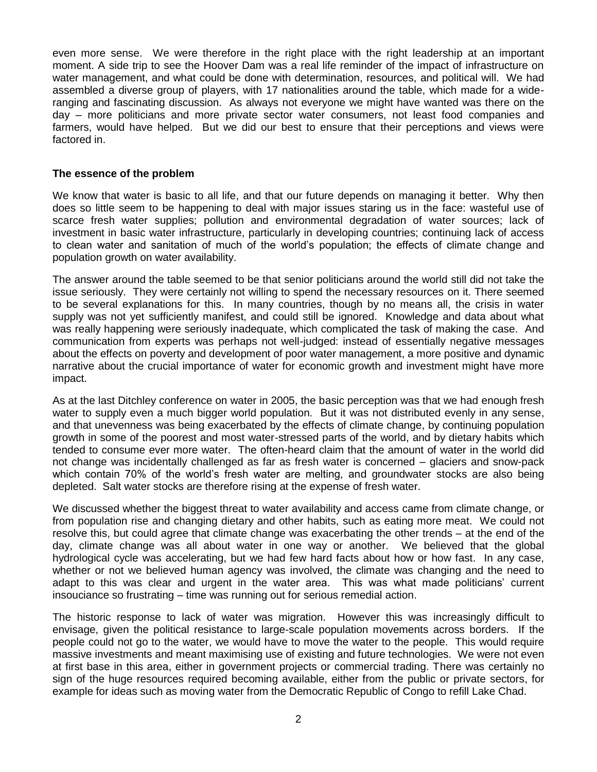even more sense. We were therefore in the right place with the right leadership at an important moment. A side trip to see the Hoover Dam was a real life reminder of the impact of infrastructure on water management, and what could be done with determination, resources, and political will. We had assembled a diverse group of players, with 17 nationalities around the table, which made for a wideranging and fascinating discussion. As always not everyone we might have wanted was there on the day – more politicians and more private sector water consumers, not least food companies and farmers, would have helped. But we did our best to ensure that their perceptions and views were factored in.

#### **The essence of the problem**

We know that water is basic to all life, and that our future depends on managing it better. Why then does so little seem to be happening to deal with major issues staring us in the face: wasteful use of scarce fresh water supplies; pollution and environmental degradation of water sources; lack of investment in basic water infrastructure, particularly in developing countries; continuing lack of access to clean water and sanitation of much of the world's population; the effects of climate change and population growth on water availability.

The answer around the table seemed to be that senior politicians around the world still did not take the issue seriously. They were certainly not willing to spend the necessary resources on it. There seemed to be several explanations for this. In many countries, though by no means all, the crisis in water supply was not yet sufficiently manifest, and could still be ignored. Knowledge and data about what was really happening were seriously inadequate, which complicated the task of making the case. And communication from experts was perhaps not well-judged: instead of essentially negative messages about the effects on poverty and development of poor water management, a more positive and dynamic narrative about the crucial importance of water for economic growth and investment might have more impact.

As at the last Ditchley conference on water in 2005, the basic perception was that we had enough fresh water to supply even a much bigger world population. But it was not distributed evenly in any sense, and that unevenness was being exacerbated by the effects of climate change, by continuing population growth in some of the poorest and most water-stressed parts of the world, and by dietary habits which tended to consume ever more water. The often-heard claim that the amount of water in the world did not change was incidentally challenged as far as fresh water is concerned – glaciers and snow-pack which contain 70% of the world's fresh water are melting, and groundwater stocks are also being depleted. Salt water stocks are therefore rising at the expense of fresh water.

We discussed whether the biggest threat to water availability and access came from climate change, or from population rise and changing dietary and other habits, such as eating more meat. We could not resolve this, but could agree that climate change was exacerbating the other trends – at the end of the day, climate change was all about water in one way or another. We believed that the global hydrological cycle was accelerating, but we had few hard facts about how or how fast. In any case, whether or not we believed human agency was involved, the climate was changing and the need to adapt to this was clear and urgent in the water area. This was what made politicians' current insouciance so frustrating – time was running out for serious remedial action.

The historic response to lack of water was migration. However this was increasingly difficult to envisage, given the political resistance to large-scale population movements across borders. If the people could not go to the water, we would have to move the water to the people. This would require massive investments and meant maximising use of existing and future technologies. We were not even at first base in this area, either in government projects or commercial trading. There was certainly no sign of the huge resources required becoming available, either from the public or private sectors, for example for ideas such as moving water from the Democratic Republic of Congo to refill Lake Chad.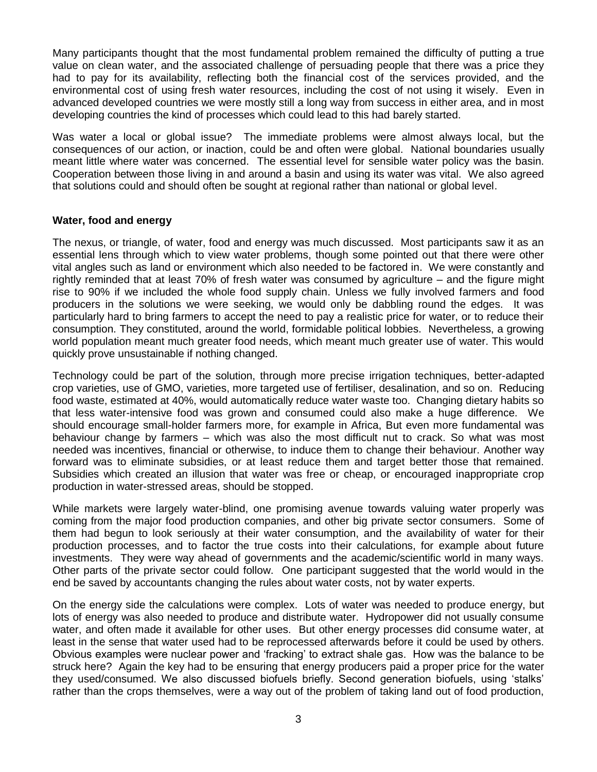Many participants thought that the most fundamental problem remained the difficulty of putting a true value on clean water, and the associated challenge of persuading people that there was a price they had to pay for its availability, reflecting both the financial cost of the services provided, and the environmental cost of using fresh water resources, including the cost of not using it wisely. Even in advanced developed countries we were mostly still a long way from success in either area, and in most developing countries the kind of processes which could lead to this had barely started.

Was water a local or global issue? The immediate problems were almost always local, but the consequences of our action, or inaction, could be and often were global. National boundaries usually meant little where water was concerned. The essential level for sensible water policy was the basin. Cooperation between those living in and around a basin and using its water was vital. We also agreed that solutions could and should often be sought at regional rather than national or global level.

### **Water, food and energy**

The nexus, or triangle, of water, food and energy was much discussed. Most participants saw it as an essential lens through which to view water problems, though some pointed out that there were other vital angles such as land or environment which also needed to be factored in. We were constantly and rightly reminded that at least 70% of fresh water was consumed by agriculture – and the figure might rise to 90% if we included the whole food supply chain. Unless we fully involved farmers and food producers in the solutions we were seeking, we would only be dabbling round the edges. It was particularly hard to bring farmers to accept the need to pay a realistic price for water, or to reduce their consumption. They constituted, around the world, formidable political lobbies. Nevertheless, a growing world population meant much greater food needs, which meant much greater use of water. This would quickly prove unsustainable if nothing changed.

Technology could be part of the solution, through more precise irrigation techniques, better-adapted crop varieties, use of GMO, varieties, more targeted use of fertiliser, desalination, and so on. Reducing food waste, estimated at 40%, would automatically reduce water waste too. Changing dietary habits so that less water-intensive food was grown and consumed could also make a huge difference. We should encourage small-holder farmers more, for example in Africa, But even more fundamental was behaviour change by farmers – which was also the most difficult nut to crack. So what was most needed was incentives, financial or otherwise, to induce them to change their behaviour. Another way forward was to eliminate subsidies, or at least reduce them and target better those that remained. Subsidies which created an illusion that water was free or cheap, or encouraged inappropriate crop production in water-stressed areas, should be stopped.

While markets were largely water-blind, one promising avenue towards valuing water properly was coming from the major food production companies, and other big private sector consumers. Some of them had begun to look seriously at their water consumption, and the availability of water for their production processes, and to factor the true costs into their calculations, for example about future investments. They were way ahead of governments and the academic/scientific world in many ways. Other parts of the private sector could follow. One participant suggested that the world would in the end be saved by accountants changing the rules about water costs, not by water experts.

On the energy side the calculations were complex. Lots of water was needed to produce energy, but lots of energy was also needed to produce and distribute water. Hydropower did not usually consume water, and often made it available for other uses. But other energy processes did consume water, at least in the sense that water used had to be reprocessed afterwards before it could be used by others. Obvious examples were nuclear power and 'fracking' to extract shale gas. How was the balance to be struck here? Again the key had to be ensuring that energy producers paid a proper price for the water they used/consumed. We also discussed biofuels briefly. Second generation biofuels, using 'stalks' rather than the crops themselves, were a way out of the problem of taking land out of food production,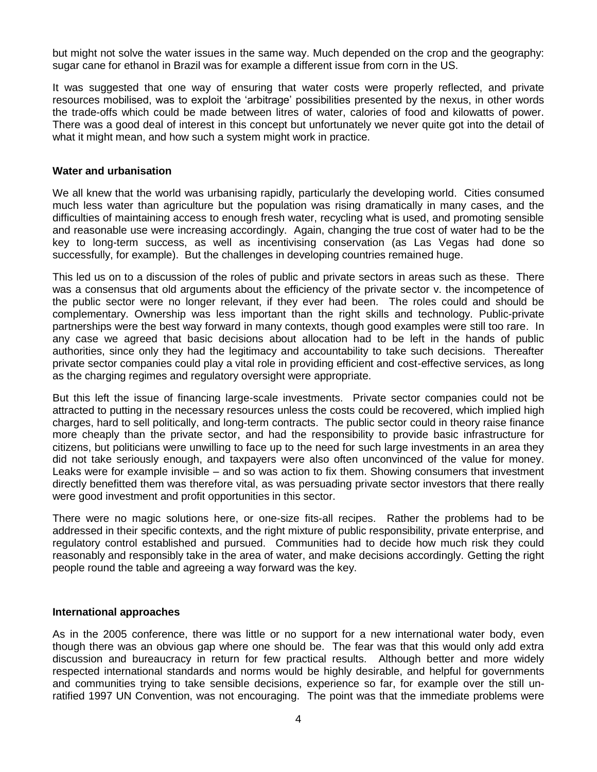but might not solve the water issues in the same way. Much depended on the crop and the geography: sugar cane for ethanol in Brazil was for example a different issue from corn in the US.

It was suggested that one way of ensuring that water costs were properly reflected, and private resources mobilised, was to exploit the 'arbitrage' possibilities presented by the nexus, in other words the trade-offs which could be made between litres of water, calories of food and kilowatts of power. There was a good deal of interest in this concept but unfortunately we never quite got into the detail of what it might mean, and how such a system might work in practice.

#### **Water and urbanisation**

We all knew that the world was urbanising rapidly, particularly the developing world. Cities consumed much less water than agriculture but the population was rising dramatically in many cases, and the difficulties of maintaining access to enough fresh water, recycling what is used, and promoting sensible and reasonable use were increasing accordingly. Again, changing the true cost of water had to be the key to long-term success, as well as incentivising conservation (as Las Vegas had done so successfully, for example). But the challenges in developing countries remained huge.

This led us on to a discussion of the roles of public and private sectors in areas such as these. There was a consensus that old arguments about the efficiency of the private sector v. the incompetence of the public sector were no longer relevant, if they ever had been. The roles could and should be complementary. Ownership was less important than the right skills and technology. Public-private partnerships were the best way forward in many contexts, though good examples were still too rare. In any case we agreed that basic decisions about allocation had to be left in the hands of public authorities, since only they had the legitimacy and accountability to take such decisions. Thereafter private sector companies could play a vital role in providing efficient and cost-effective services, as long as the charging regimes and regulatory oversight were appropriate.

But this left the issue of financing large-scale investments. Private sector companies could not be attracted to putting in the necessary resources unless the costs could be recovered, which implied high charges, hard to sell politically, and long-term contracts. The public sector could in theory raise finance more cheaply than the private sector, and had the responsibility to provide basic infrastructure for citizens, but politicians were unwilling to face up to the need for such large investments in an area they did not take seriously enough, and taxpayers were also often unconvinced of the value for money. Leaks were for example invisible – and so was action to fix them. Showing consumers that investment directly benefitted them was therefore vital, as was persuading private sector investors that there really were good investment and profit opportunities in this sector.

There were no magic solutions here, or one-size fits-all recipes. Rather the problems had to be addressed in their specific contexts, and the right mixture of public responsibility, private enterprise, and regulatory control established and pursued. Communities had to decide how much risk they could reasonably and responsibly take in the area of water, and make decisions accordingly. Getting the right people round the table and agreeing a way forward was the key.

### **International approaches**

As in the 2005 conference, there was little or no support for a new international water body, even though there was an obvious gap where one should be. The fear was that this would only add extra discussion and bureaucracy in return for few practical results. Although better and more widely respected international standards and norms would be highly desirable, and helpful for governments and communities trying to take sensible decisions, experience so far, for example over the still unratified 1997 UN Convention, was not encouraging. The point was that the immediate problems were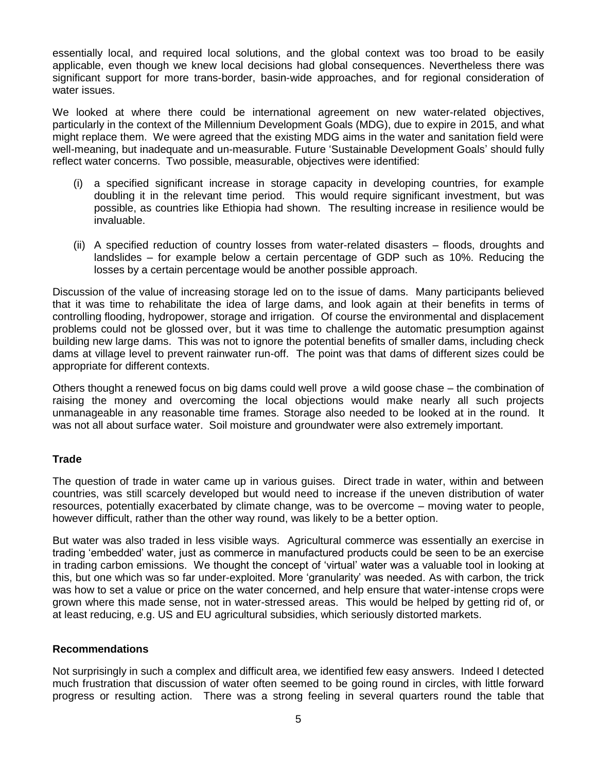essentially local, and required local solutions, and the global context was too broad to be easily applicable, even though we knew local decisions had global consequences. Nevertheless there was significant support for more trans-border, basin-wide approaches, and for regional consideration of water issues.

We looked at where there could be international agreement on new water-related objectives, particularly in the context of the Millennium Development Goals (MDG), due to expire in 2015, and what might replace them. We were agreed that the existing MDG aims in the water and sanitation field were well-meaning, but inadequate and un-measurable. Future 'Sustainable Development Goals' should fully reflect water concerns. Two possible, measurable, objectives were identified:

- (i) a specified significant increase in storage capacity in developing countries, for example doubling it in the relevant time period. This would require significant investment, but was possible, as countries like Ethiopia had shown. The resulting increase in resilience would be invaluable.
- (ii) A specified reduction of country losses from water-related disasters floods, droughts and landslides – for example below a certain percentage of GDP such as 10%. Reducing the losses by a certain percentage would be another possible approach.

Discussion of the value of increasing storage led on to the issue of dams. Many participants believed that it was time to rehabilitate the idea of large dams, and look again at their benefits in terms of controlling flooding, hydropower, storage and irrigation. Of course the environmental and displacement problems could not be glossed over, but it was time to challenge the automatic presumption against building new large dams. This was not to ignore the potential benefits of smaller dams, including check dams at village level to prevent rainwater run-off. The point was that dams of different sizes could be appropriate for different contexts.

Others thought a renewed focus on big dams could well prove a wild goose chase – the combination of raising the money and overcoming the local objections would make nearly all such projects unmanageable in any reasonable time frames. Storage also needed to be looked at in the round. It was not all about surface water. Soil moisture and groundwater were also extremely important.

## **Trade**

The question of trade in water came up in various guises. Direct trade in water, within and between countries, was still scarcely developed but would need to increase if the uneven distribution of water resources, potentially exacerbated by climate change, was to be overcome – moving water to people, however difficult, rather than the other way round, was likely to be a better option.

But water was also traded in less visible ways. Agricultural commerce was essentially an exercise in trading 'embedded' water, just as commerce in manufactured products could be seen to be an exercise in trading carbon emissions. We thought the concept of 'virtual' water was a valuable tool in looking at this, but one which was so far under-exploited. More 'granularity' was needed. As with carbon, the trick was how to set a value or price on the water concerned, and help ensure that water-intense crops were grown where this made sense, not in water-stressed areas. This would be helped by getting rid of, or at least reducing, e.g. US and EU agricultural subsidies, which seriously distorted markets.

### **Recommendations**

Not surprisingly in such a complex and difficult area, we identified few easy answers. Indeed I detected much frustration that discussion of water often seemed to be going round in circles, with little forward progress or resulting action. There was a strong feeling in several quarters round the table that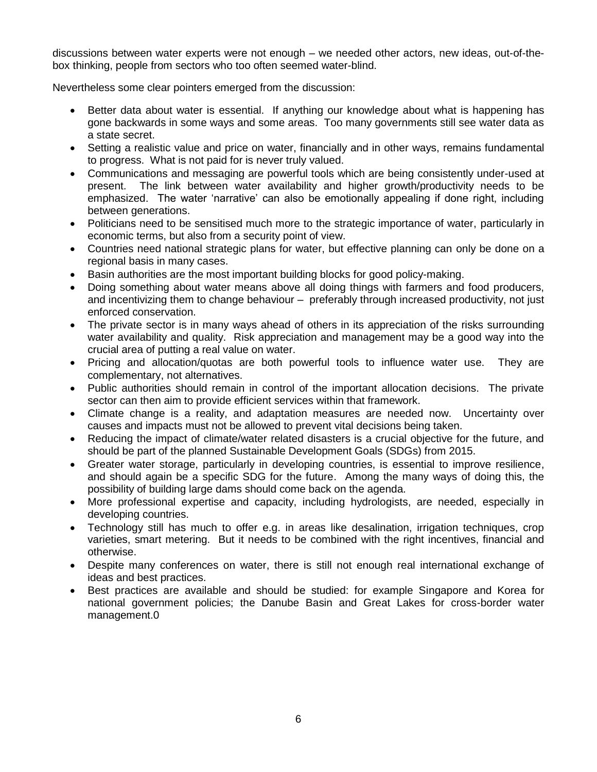discussions between water experts were not enough – we needed other actors, new ideas, out-of-thebox thinking, people from sectors who too often seemed water-blind.

Nevertheless some clear pointers emerged from the discussion:

- Better data about water is essential. If anything our knowledge about what is happening has gone backwards in some ways and some areas. Too many governments still see water data as a state secret.
- Setting a realistic value and price on water, financially and in other ways, remains fundamental to progress. What is not paid for is never truly valued.
- Communications and messaging are powerful tools which are being consistently under-used at present. The link between water availability and higher growth/productivity needs to be emphasized. The water 'narrative' can also be emotionally appealing if done right, including between generations.
- Politicians need to be sensitised much more to the strategic importance of water, particularly in economic terms, but also from a security point of view.
- Countries need national strategic plans for water, but effective planning can only be done on a regional basis in many cases.
- Basin authorities are the most important building blocks for good policy-making.
- Doing something about water means above all doing things with farmers and food producers, and incentivizing them to change behaviour – preferably through increased productivity, not just enforced conservation.
- The private sector is in many ways ahead of others in its appreciation of the risks surrounding water availability and quality. Risk appreciation and management may be a good way into the crucial area of putting a real value on water.
- Pricing and allocation/quotas are both powerful tools to influence water use. They are complementary, not alternatives.
- Public authorities should remain in control of the important allocation decisions. The private sector can then aim to provide efficient services within that framework.
- Climate change is a reality, and adaptation measures are needed now. Uncertainty over causes and impacts must not be allowed to prevent vital decisions being taken.
- Reducing the impact of climate/water related disasters is a crucial objective for the future, and should be part of the planned Sustainable Development Goals (SDGs) from 2015.
- Greater water storage, particularly in developing countries, is essential to improve resilience, and should again be a specific SDG for the future. Among the many ways of doing this, the possibility of building large dams should come back on the agenda.
- More professional expertise and capacity, including hydrologists, are needed, especially in developing countries.
- Technology still has much to offer e.g. in areas like desalination, irrigation techniques, crop varieties, smart metering. But it needs to be combined with the right incentives, financial and otherwise.
- Despite many conferences on water, there is still not enough real international exchange of ideas and best practices.
- Best practices are available and should be studied: for example Singapore and Korea for national government policies; the Danube Basin and Great Lakes for cross-border water management.0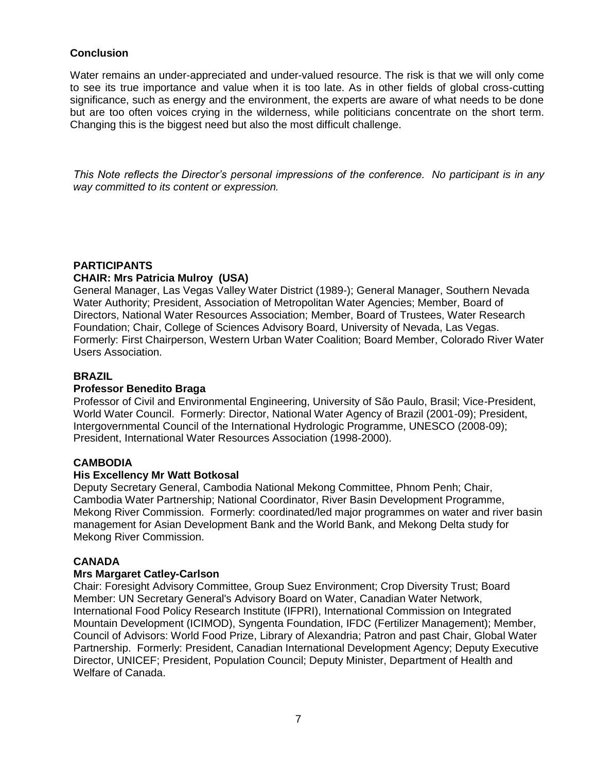## **Conclusion**

Water remains an under-appreciated and under-valued resource. The risk is that we will only come to see its true importance and value when it is too late. As in other fields of global cross-cutting significance, such as energy and the environment, the experts are aware of what needs to be done but are too often voices crying in the wilderness, while politicians concentrate on the short term. Changing this is the biggest need but also the most difficult challenge.

*This Note reflects the Director's personal impressions of the conference. No participant is in any way committed to its content or expression.*

## **PARTICIPANTS**

### **CHAIR: Mrs Patricia Mulroy (USA)**

General Manager, Las Vegas Valley Water District (1989-); General Manager, Southern Nevada Water Authority; President, Association of Metropolitan Water Agencies; Member, Board of Directors, National Water Resources Association; Member, Board of Trustees, Water Research Foundation; Chair, College of Sciences Advisory Board, University of Nevada, Las Vegas. Formerly: First Chairperson, Western Urban Water Coalition; Board Member, Colorado River Water Users Association.

### **BRAZIL**

### **Professor Benedito Braga**

Professor of Civil and Environmental Engineering, University of São Paulo, Brasil; Vice-President, World Water Council. Formerly: Director, National Water Agency of Brazil (2001-09); President, Intergovernmental Council of the International Hydrologic Programme, UNESCO (2008-09); President, International Water Resources Association (1998-2000).

### **CAMBODIA**

### **His Excellency Mr Watt Botkosal**

Deputy Secretary General, Cambodia National Mekong Committee, Phnom Penh; Chair, Cambodia Water Partnership; National Coordinator, River Basin Development Programme, Mekong River Commission. Formerly: coordinated/led major programmes on water and river basin management for Asian Development Bank and the World Bank, and Mekong Delta study for Mekong River Commission.

### **CANADA**

### **Mrs Margaret Catley-Carlson**

Chair: Foresight Advisory Committee, Group Suez Environment; Crop Diversity Trust; Board Member: UN Secretary General's Advisory Board on Water, Canadian Water Network, International Food Policy Research Institute (IFPRI), International Commission on Integrated Mountain Development (ICIMOD), Syngenta Foundation, IFDC (Fertilizer Management); Member, Council of Advisors: World Food Prize, Library of Alexandria; Patron and past Chair, Global Water Partnership. Formerly: President, Canadian International Development Agency; Deputy Executive Director, UNICEF; President, Population Council; Deputy Minister, Department of Health and Welfare of Canada.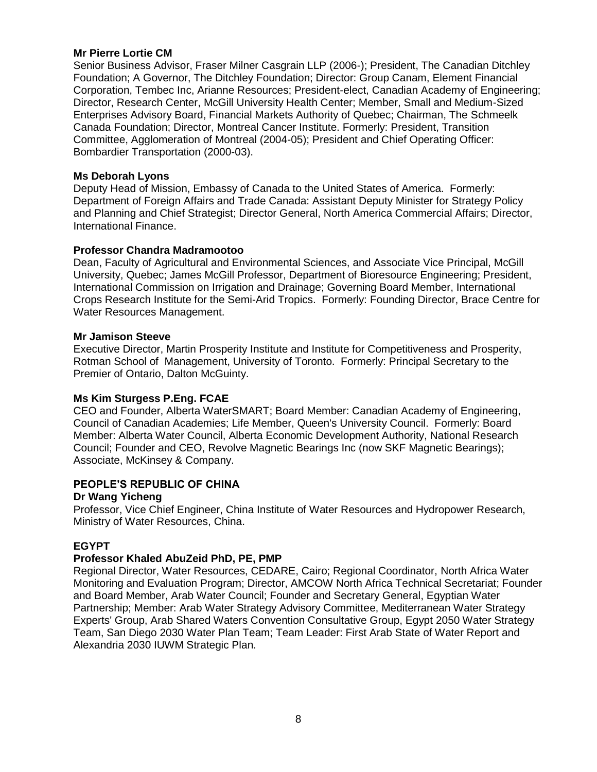### **Mr Pierre Lortie CM**

Senior Business Advisor, Fraser Milner Casgrain LLP (2006-); President, The Canadian Ditchley Foundation; A Governor, The Ditchley Foundation; Director: Group Canam, Element Financial Corporation, Tembec Inc, Arianne Resources; President-elect, Canadian Academy of Engineering; Director, Research Center, McGill University Health Center; Member, Small and Medium-Sized Enterprises Advisory Board, Financial Markets Authority of Quebec; Chairman, The Schmeelk Canada Foundation; Director, Montreal Cancer Institute. Formerly: President, Transition Committee, Agglomeration of Montreal (2004-05); President and Chief Operating Officer: Bombardier Transportation (2000-03).

### **Ms Deborah Lyons**

Deputy Head of Mission, Embassy of Canada to the United States of America. Formerly: Department of Foreign Affairs and Trade Canada: Assistant Deputy Minister for Strategy Policy and Planning and Chief Strategist; Director General, North America Commercial Affairs; Director, International Finance.

### **Professor Chandra Madramootoo**

Dean, Faculty of Agricultural and Environmental Sciences, and Associate Vice Principal, McGill University, Quebec; James McGill Professor, Department of Bioresource Engineering; President, International Commission on Irrigation and Drainage; Governing Board Member, International Crops Research Institute for the Semi-Arid Tropics. Formerly: Founding Director, Brace Centre for Water Resources Management.

### **Mr Jamison Steeve**

Executive Director, Martin Prosperity Institute and Institute for Competitiveness and Prosperity, Rotman School of Management, University of Toronto. Formerly: Principal Secretary to the Premier of Ontario, Dalton McGuinty.

## **Ms Kim Sturgess P.Eng. FCAE**

CEO and Founder, Alberta WaterSMART; Board Member: Canadian Academy of Engineering, Council of Canadian Academies; Life Member, Queen's University Council. Formerly: Board Member: Alberta Water Council, Alberta Economic Development Authority, National Research Council; Founder and CEO, Revolve Magnetic Bearings Inc (now SKF Magnetic Bearings); Associate, McKinsey & Company.

### **PEOPLE'S REPUBLIC OF CHINA**

### **Dr Wang Yicheng**

Professor, Vice Chief Engineer, China Institute of Water Resources and Hydropower Research, Ministry of Water Resources, China.

## **EGYPT**

### **Professor Khaled AbuZeid PhD, PE, PMP**

Regional Director, Water Resources, CEDARE, Cairo; Regional Coordinator, North Africa Water Monitoring and Evaluation Program; Director, AMCOW North Africa Technical Secretariat; Founder and Board Member, Arab Water Council; Founder and Secretary General, Egyptian Water Partnership; Member: Arab Water Strategy Advisory Committee, Mediterranean Water Strategy Experts' Group, Arab Shared Waters Convention Consultative Group, Egypt 2050 Water Strategy Team, San Diego 2030 Water Plan Team; Team Leader: First Arab State of Water Report and Alexandria 2030 IUWM Strategic Plan.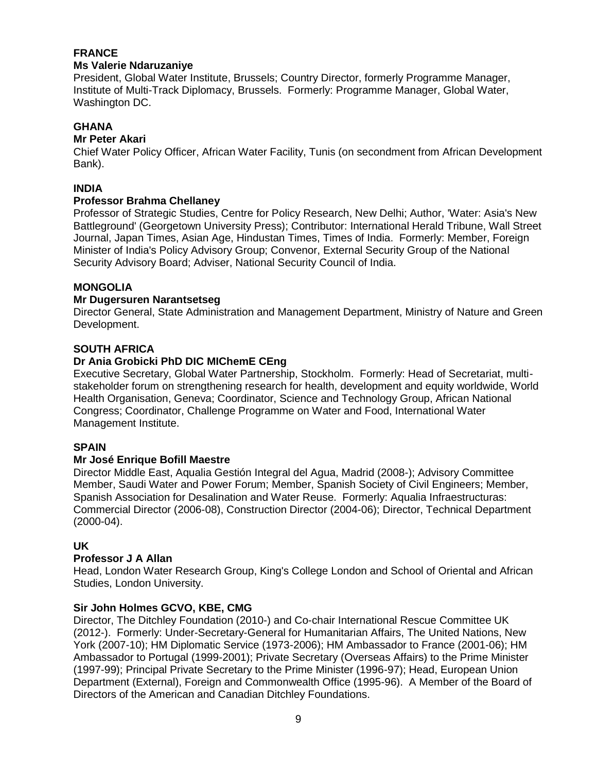### **FRANCE Ms Valerie Ndaruzaniye**

President, Global Water Institute, Brussels; Country Director, formerly Programme Manager, Institute of Multi-Track Diplomacy, Brussels. Formerly: Programme Manager, Global Water, Washington DC.

## **GHANA**

## **Mr Peter Akari**

Chief Water Policy Officer, African Water Facility, Tunis (on secondment from African Development Bank).

## **INDIA**

## **Professor Brahma Chellaney**

Professor of Strategic Studies, Centre for Policy Research, New Delhi; Author, 'Water: Asia's New Battleground' (Georgetown University Press); Contributor: International Herald Tribune, Wall Street Journal, Japan Times, Asian Age, Hindustan Times, Times of India. Formerly: Member, Foreign Minister of India's Policy Advisory Group; Convenor, External Security Group of the National Security Advisory Board; Adviser, National Security Council of India.

## **MONGOLIA**

## **Mr Dugersuren Narantsetseg**

Director General, State Administration and Management Department, Ministry of Nature and Green Development.

## **SOUTH AFRICA**

## **Dr Ania Grobicki PhD DIC MIChemE CEng**

Executive Secretary, Global Water Partnership, Stockholm. Formerly: Head of Secretariat, multistakeholder forum on strengthening research for health, development and equity worldwide, World Health Organisation, Geneva; Coordinator, Science and Technology Group, African National Congress; Coordinator, Challenge Programme on Water and Food, International Water Management Institute.

## **SPAIN**

## **Mr José Enrique Bofill Maestre**

Director Middle East, Aqualia Gestión Integral del Agua, Madrid (2008-); Advisory Committee Member, Saudi Water and Power Forum; Member, Spanish Society of Civil Engineers; Member, Spanish Association for Desalination and Water Reuse. Formerly: Aqualia Infraestructuras: Commercial Director (2006-08), Construction Director (2004-06); Director, Technical Department (2000-04).

## **UK**

## **Professor J A Allan**

Head, London Water Research Group, King's College London and School of Oriental and African Studies, London University.

## **Sir John Holmes GCVO, KBE, CMG**

Director, The Ditchley Foundation (2010-) and Co-chair International Rescue Committee UK (2012-). Formerly: Under-Secretary-General for Humanitarian Affairs, The United Nations, New York (2007-10); HM Diplomatic Service (1973-2006); HM Ambassador to France (2001-06); HM Ambassador to Portugal (1999-2001); Private Secretary (Overseas Affairs) to the Prime Minister (1997-99); Principal Private Secretary to the Prime Minister (1996-97); Head, European Union Department (External), Foreign and Commonwealth Office (1995-96). A Member of the Board of Directors of the American and Canadian Ditchley Foundations.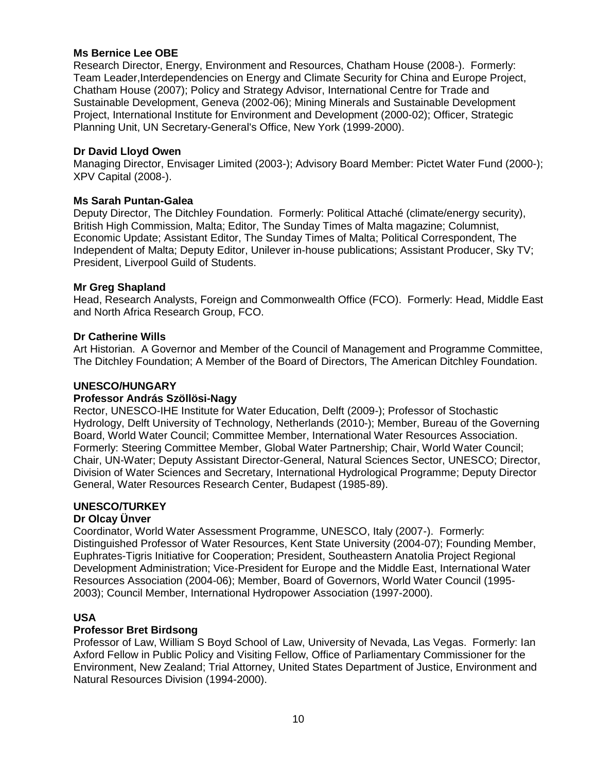## **Ms Bernice Lee OBE**

Research Director, Energy, Environment and Resources, Chatham House (2008-). Formerly: Team Leader,Interdependencies on Energy and Climate Security for China and Europe Project, Chatham House (2007); Policy and Strategy Advisor, International Centre for Trade and Sustainable Development, Geneva (2002-06); Mining Minerals and Sustainable Development Project, International Institute for Environment and Development (2000-02); Officer, Strategic Planning Unit, UN Secretary-General's Office, New York (1999-2000).

## **Dr David Lloyd Owen**

Managing Director, Envisager Limited (2003-); Advisory Board Member: Pictet Water Fund (2000-); XPV Capital (2008-).

## **Ms Sarah Puntan-Galea**

Deputy Director, The Ditchley Foundation. Formerly: Political Attaché (climate/energy security), British High Commission, Malta; Editor, The Sunday Times of Malta magazine; Columnist, Economic Update; Assistant Editor, The Sunday Times of Malta; Political Correspondent, The Independent of Malta; Deputy Editor, Unilever in-house publications; Assistant Producer, Sky TV; President, Liverpool Guild of Students.

### **Mr Greg Shapland**

Head, Research Analysts, Foreign and Commonwealth Office (FCO). Formerly: Head, Middle East and North Africa Research Group, FCO.

### **Dr Catherine Wills**

Art Historian. A Governor and Member of the Council of Management and Programme Committee, The Ditchley Foundation; A Member of the Board of Directors, The American Ditchley Foundation.

### **UNESCO/HUNGARY**

### **Professor András Szöllösi-Nagy**

Rector, UNESCO-IHE Institute for Water Education, Delft (2009-); Professor of Stochastic Hydrology, Delft University of Technology, Netherlands (2010-); Member, Bureau of the Governing Board, World Water Council; Committee Member, International Water Resources Association. Formerly: Steering Committee Member, Global Water Partnership; Chair, World Water Council; Chair, UN-Water; Deputy Assistant Director-General, Natural Sciences Sector, UNESCO; Director, Division of Water Sciences and Secretary, International Hydrological Programme; Deputy Director General, Water Resources Research Center, Budapest (1985-89).

## **UNESCO/TURKEY**

## **Dr Olcay Ünver**

Coordinator, World Water Assessment Programme, UNESCO, Italy (2007-). Formerly: Distinguished Professor of Water Resources, Kent State University (2004-07); Founding Member, Euphrates-Tigris Initiative for Cooperation; President, Southeastern Anatolia Project Regional Development Administration; Vice-President for Europe and the Middle East, International Water Resources Association (2004-06); Member, Board of Governors, World Water Council (1995- 2003); Council Member, International Hydropower Association (1997-2000).

## **USA**

### **Professor Bret Birdsong**

Professor of Law, William S Boyd School of Law, University of Nevada, Las Vegas. Formerly: Ian Axford Fellow in Public Policy and Visiting Fellow, Office of Parliamentary Commissioner for the Environment, New Zealand; Trial Attorney, United States Department of Justice, Environment and Natural Resources Division (1994-2000).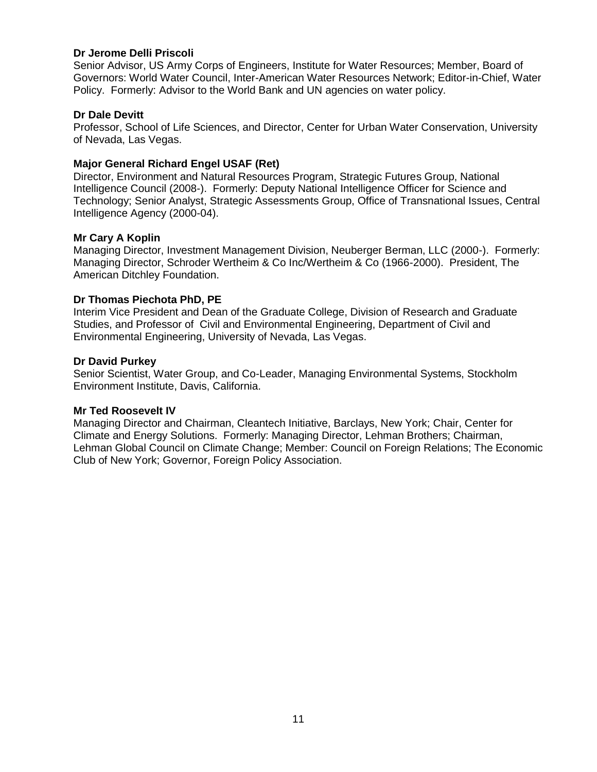### **Dr Jerome Delli Priscoli**

Senior Advisor, US Army Corps of Engineers, Institute for Water Resources; Member, Board of Governors: World Water Council, Inter-American Water Resources Network; Editor-in-Chief, Water Policy. Formerly: Advisor to the World Bank and UN agencies on water policy.

### **Dr Dale Devitt**

Professor, School of Life Sciences, and Director, Center for Urban Water Conservation, University of Nevada, Las Vegas.

### **Major General Richard Engel USAF (Ret)**

Director, Environment and Natural Resources Program, Strategic Futures Group, National Intelligence Council (2008-). Formerly: Deputy National Intelligence Officer for Science and Technology; Senior Analyst, Strategic Assessments Group, Office of Transnational Issues, Central Intelligence Agency (2000-04).

### **Mr Cary A Koplin**

Managing Director, Investment Management Division, Neuberger Berman, LLC (2000-). Formerly: Managing Director, Schroder Wertheim & Co Inc/Wertheim & Co (1966-2000). President, The American Ditchley Foundation.

### **Dr Thomas Piechota PhD, PE**

Interim Vice President and Dean of the Graduate College, Division of Research and Graduate Studies, and Professor of Civil and Environmental Engineering, Department of Civil and Environmental Engineering, University of Nevada, Las Vegas.

### **Dr David Purkey**

Senior Scientist, Water Group, and Co-Leader, Managing Environmental Systems, Stockholm Environment Institute, Davis, California.

### **Mr Ted Roosevelt IV**

Managing Director and Chairman, Cleantech Initiative, Barclays, New York; Chair, Center for Climate and Energy Solutions. Formerly: Managing Director, Lehman Brothers; Chairman, Lehman Global Council on Climate Change; Member: Council on Foreign Relations; The Economic Club of New York; Governor, Foreign Policy Association.